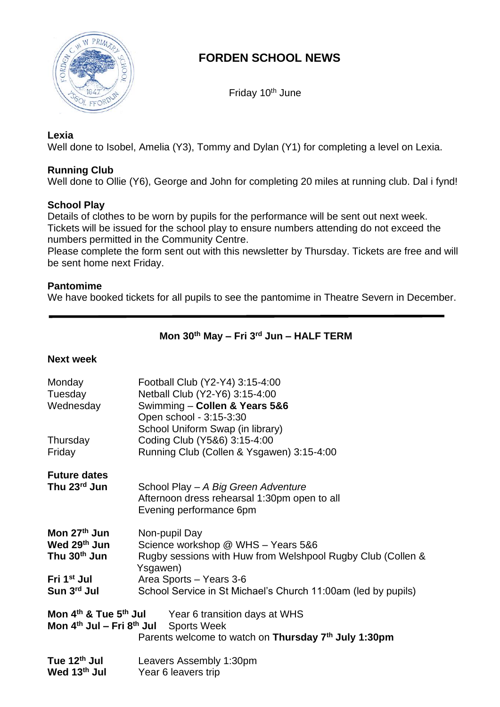

# **FORDEN SCHOOL NEWS**

Friday 10<sup>th</sup> June

### **Lexia**

Well done to Isobel, Amelia (Y3), Tommy and Dylan (Y1) for completing a level on Lexia.

# **Running Club**

Well done to Ollie (Y6), George and John for completing 20 miles at running club. Dal i fynd!

## **School Play**

Details of clothes to be worn by pupils for the performance will be sent out next week. Tickets will be issued for the school play to ensure numbers attending do not exceed the numbers permitted in the Community Centre.

Please complete the form sent out with this newsletter by Thursday. Tickets are free and will be sent home next Friday.

## **Pantomime**

We have booked tickets for all pupils to see the pantomime in Theatre Severn in December.

# **Mon 30th May – Fri 3 rd Jun – HALF TERM**

### **Next week**

| Monday                                                                                                                                                    | Football Club (Y2-Y4) 3:15-4:00                                         |
|-----------------------------------------------------------------------------------------------------------------------------------------------------------|-------------------------------------------------------------------------|
| Tuesday                                                                                                                                                   | Netball Club (Y2-Y6) 3:15-4:00                                          |
| Wednesday                                                                                                                                                 | Swimming - Collen & Years 5&6                                           |
|                                                                                                                                                           | Open school - 3:15-3:30                                                 |
|                                                                                                                                                           | School Uniform Swap (in library)                                        |
| Thursday                                                                                                                                                  | Coding Club (Y5&6) 3:15-4:00                                            |
| Friday                                                                                                                                                    | Running Club (Collen & Ysgawen) 3:15-4:00                               |
| <b>Future dates</b>                                                                                                                                       |                                                                         |
| Thu 23rd Jun                                                                                                                                              | School Play - A Big Green Adventure                                     |
|                                                                                                                                                           | Afternoon dress rehearsal 1:30pm open to all                            |
|                                                                                                                                                           | Evening performance 6pm                                                 |
| Mon 27 <sup>th</sup> Jun                                                                                                                                  | Non-pupil Day                                                           |
| Wed 29th Jun                                                                                                                                              | Science workshop @ WHS - Years 5&6                                      |
| Thu 30 <sup>th</sup> Jun                                                                                                                                  | Rugby sessions with Huw from Welshpool Rugby Club (Collen &<br>Ysgawen) |
| Fri 1 <sup>st</sup> Jul                                                                                                                                   | Area Sports - Years 3-6                                                 |
| Sun 3rd Jul                                                                                                                                               | School Service in St Michael's Church 11:00am (led by pupils)           |
| Mon 4 <sup>th</sup> & Tue 5 <sup>th</sup> Jul<br>Year 6 transition days at WHS<br>Mon 4 <sup>th</sup> Jul – Fri 8 <sup>th</sup> Jul<br><b>Sports Week</b> |                                                                         |
|                                                                                                                                                           | Parents welcome to watch on Thursday 7 <sup>th</sup> July 1:30pm        |
|                                                                                                                                                           |                                                                         |
| Tue 12 <sup>th</sup> Jul                                                                                                                                  | Leavers Assembly 1:30pm                                                 |